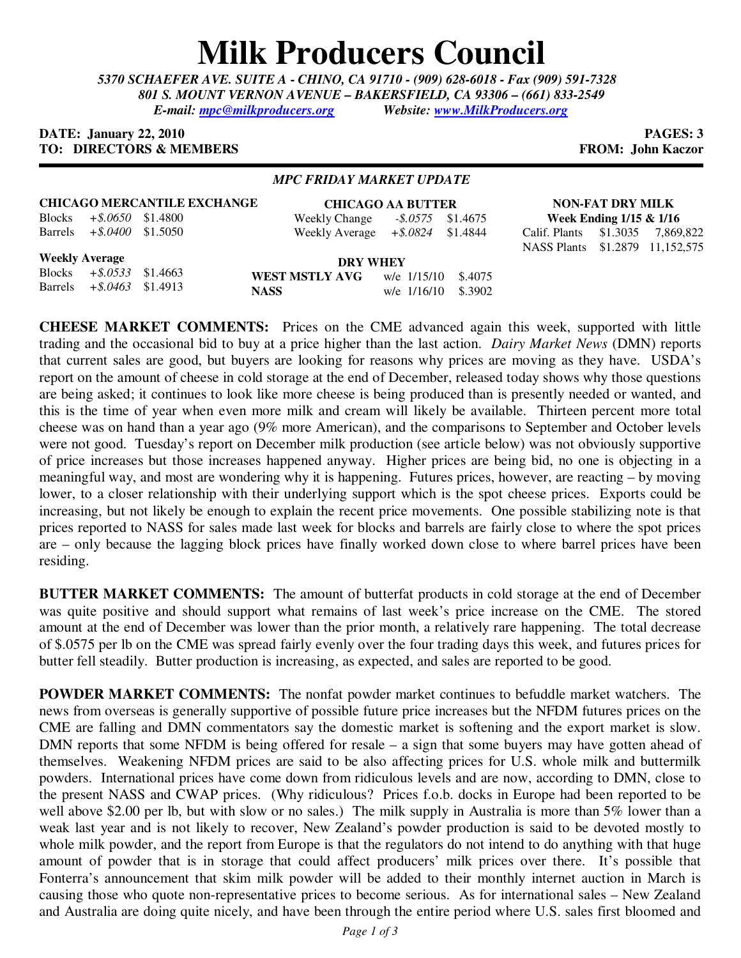## **Milk Producers Council**

*5370 SCHAEFER AVE. SUITE A* **-** *CHINO, CA 91710 - (909) 628-6018 - Fax (909) 591-7328 801 S. MOUNT VERNON AVENUE – BAKERSFIELD, CA 93306 – (661) 833-2549 E-mail: mpc@milkproducers.org Website: www.MilkProducers.org* 

## **DATE: January 22, 2010 PAGES: 3 TO: DIRECTORS & MEMBERS FROM: John Kaczor**

## *MPC FRIDAY MARKET UPDATE*

| <b>CHICAGO MERCANTILE EXCHANGE</b> |                              |  |                                     | <b>CHICAGO AA BUTTER</b> |                    |                                  | <b>NON-FAT DRY MILK</b> |  |  |
|------------------------------------|------------------------------|--|-------------------------------------|--------------------------|--------------------|----------------------------------|-------------------------|--|--|
| <b>Blocks</b>                      | $+$ \$.0650 \$1.4800         |  | Weekly Change                       |                          | $-8.0575$ \$1.4675 | Week Ending $1/15 \& 1/16$       |                         |  |  |
|                                    | Barrels $+$ \$.0400 \$1.5050 |  | Weekly Average $+$ \$.0824 \$1.4844 |                          |                    | Calif. Plants \$1.3035 7,869,822 |                         |  |  |
|                                    |                              |  |                                     |                          |                    | NASS Plants \$1.2879 11,152,575  |                         |  |  |
|                                    | <b>Weekly Average</b>        |  | <b>DRY WHEY</b>                     |                          |                    |                                  |                         |  |  |
|                                    | Blocks $+$ \$.0533 \$1.4663  |  | <b>WEST MSTLY AVG</b> $w/e$ 1/15/10 |                          | \$.4075            |                                  |                         |  |  |
|                                    | Barrels $+ $.0463$ \$1.4913  |  | <b>NASS</b>                         | w/e 1/16/10              | \$.3902            |                                  |                         |  |  |
|                                    |                              |  |                                     |                          |                    |                                  |                         |  |  |

**CHEESE MARKET COMMENTS:** Prices on the CME advanced again this week, supported with little trading and the occasional bid to buy at a price higher than the last action. *Dairy Market News* (DMN) reports that current sales are good, but buyers are looking for reasons why prices are moving as they have. USDA's report on the amount of cheese in cold storage at the end of December, released today shows why those questions are being asked; it continues to look like more cheese is being produced than is presently needed or wanted, and this is the time of year when even more milk and cream will likely be available. Thirteen percent more total cheese was on hand than a year ago (9% more American), and the comparisons to September and October levels were not good. Tuesday's report on December milk production (see article below) was not obviously supportive of price increases but those increases happened anyway. Higher prices are being bid, no one is objecting in a meaningful way, and most are wondering why it is happening. Futures prices, however, are reacting – by moving lower, to a closer relationship with their underlying support which is the spot cheese prices. Exports could be increasing, but not likely be enough to explain the recent price movements. One possible stabilizing note is that prices reported to NASS for sales made last week for blocks and barrels are fairly close to where the spot prices are – only because the lagging block prices have finally worked down close to where barrel prices have been residing.

**BUTTER MARKET COMMENTS:** The amount of butterfat products in cold storage at the end of December was quite positive and should support what remains of last week's price increase on the CME. The stored amount at the end of December was lower than the prior month, a relatively rare happening. The total decrease of \$.0575 per lb on the CME was spread fairly evenly over the four trading days this week, and futures prices for butter fell steadily. Butter production is increasing, as expected, and sales are reported to be good.

**POWDER MARKET COMMENTS:** The nonfat powder market continues to befuddle market watchers. The news from overseas is generally supportive of possible future price increases but the NFDM futures prices on the CME are falling and DMN commentators say the domestic market is softening and the export market is slow. DMN reports that some NFDM is being offered for resale – a sign that some buyers may have gotten ahead of themselves. Weakening NFDM prices are said to be also affecting prices for U.S. whole milk and buttermilk powders. International prices have come down from ridiculous levels and are now, according to DMN, close to the present NASS and CWAP prices. (Why ridiculous? Prices f.o.b. docks in Europe had been reported to be well above \$2.00 per lb, but with slow or no sales.) The milk supply in Australia is more than 5% lower than a weak last year and is not likely to recover, New Zealand's powder production is said to be devoted mostly to whole milk powder, and the report from Europe is that the regulators do not intend to do anything with that huge amount of powder that is in storage that could affect producers' milk prices over there. It's possible that Fonterra's announcement that skim milk powder will be added to their monthly internet auction in March is causing those who quote non-representative prices to become serious. As for international sales – New Zealand and Australia are doing quite nicely, and have been through the entire period where U.S. sales first bloomed and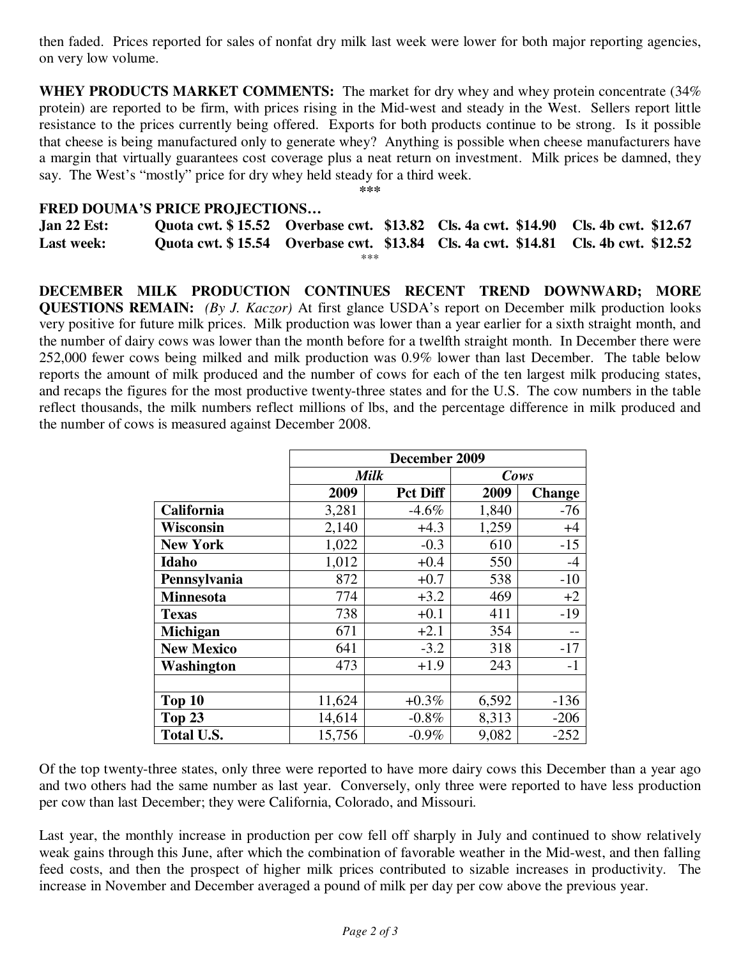then faded. Prices reported for sales of nonfat dry milk last week were lower for both major reporting agencies, on very low volume.

**WHEY PRODUCTS MARKET COMMENTS:** The market for dry whey and whey protein concentrate (34% protein) are reported to be firm, with prices rising in the Mid-west and steady in the West. Sellers report little resistance to the prices currently being offered. Exports for both products continue to be strong. Is it possible that cheese is being manufactured only to generate whey? Anything is possible when cheese manufacturers have a margin that virtually guarantees cost coverage plus a neat return on investment. Milk prices be damned, they say. The West's "mostly" price for dry whey held steady for a third week.

**\*\*\*** 

## **FRED DOUMA'S PRICE PROJECTIONS…**

| Jan 22 Est:       |       | Quota cwt. \$15.52 Overbase cwt. \$13.82 Cls. 4a cwt. \$14.90 Cls. 4b cwt. \$12.67 |                                                                                    |
|-------------------|-------|------------------------------------------------------------------------------------|------------------------------------------------------------------------------------|
| <b>Last week:</b> |       |                                                                                    | Quota cwt. \$15.54 Overbase cwt. \$13.84 Cls. 4a cwt. \$14.81 Cls. 4b cwt. \$12.52 |
|                   | $***$ |                                                                                    |                                                                                    |

**DECEMBER MILK PRODUCTION CONTINUES RECENT TREND DOWNWARD; MORE QUESTIONS REMAIN:** *(By J. Kaczor)* At first glance USDA's report on December milk production looks very positive for future milk prices. Milk production was lower than a year earlier for a sixth straight month, and the number of dairy cows was lower than the month before for a twelfth straight month. In December there were 252,000 fewer cows being milked and milk production was 0.9% lower than last December. The table below reports the amount of milk produced and the number of cows for each of the ten largest milk producing states, and recaps the figures for the most productive twenty-three states and for the U.S. The cow numbers in the table reflect thousands, the milk numbers reflect millions of lbs, and the percentage difference in milk produced and the number of cows is measured against December 2008.

|                   | December 2009 |                 |       |               |  |
|-------------------|---------------|-----------------|-------|---------------|--|
|                   |               | <b>Milk</b>     | Cows  |               |  |
|                   | 2009          | <b>Pct Diff</b> | 2009  | <b>Change</b> |  |
| California        | 3,281         | $-4.6\%$        | 1,840 | $-76$         |  |
| <b>Wisconsin</b>  | 2,140         | $+4.3$          | 1,259 | $+4$          |  |
| <b>New York</b>   | 1,022         | $-0.3$          | 610   | $-15$         |  |
| Idaho             | 1,012         | $+0.4$          | 550   | $-4$          |  |
| Pennsylvania      | 872           | $+0.7$          | 538   | $-10$         |  |
| <b>Minnesota</b>  | 774           | $+3.2$          | 469   | $+2$          |  |
| <b>Texas</b>      | 738           | $+0.1$          | 411   | $-19$         |  |
| Michigan          | 671           | $+2.1$          | 354   |               |  |
| <b>New Mexico</b> | 641           | $-3.2$          | 318   | $-17$         |  |
| Washington        | 473           | $+1.9$          | 243   | $-1$          |  |
|                   |               |                 |       |               |  |
| Top 10            | 11,624        | $+0.3\%$        | 6,592 | $-136$        |  |
| Top 23            | 14,614        | $-0.8\%$        | 8,313 | $-206$        |  |
| <b>Total U.S.</b> | 15,756        | $-0.9\%$        | 9,082 | $-252$        |  |

Of the top twenty-three states, only three were reported to have more dairy cows this December than a year ago and two others had the same number as last year. Conversely, only three were reported to have less production per cow than last December; they were California, Colorado, and Missouri.

Last year, the monthly increase in production per cow fell off sharply in July and continued to show relatively weak gains through this June, after which the combination of favorable weather in the Mid-west, and then falling feed costs, and then the prospect of higher milk prices contributed to sizable increases in productivity. The increase in November and December averaged a pound of milk per day per cow above the previous year.